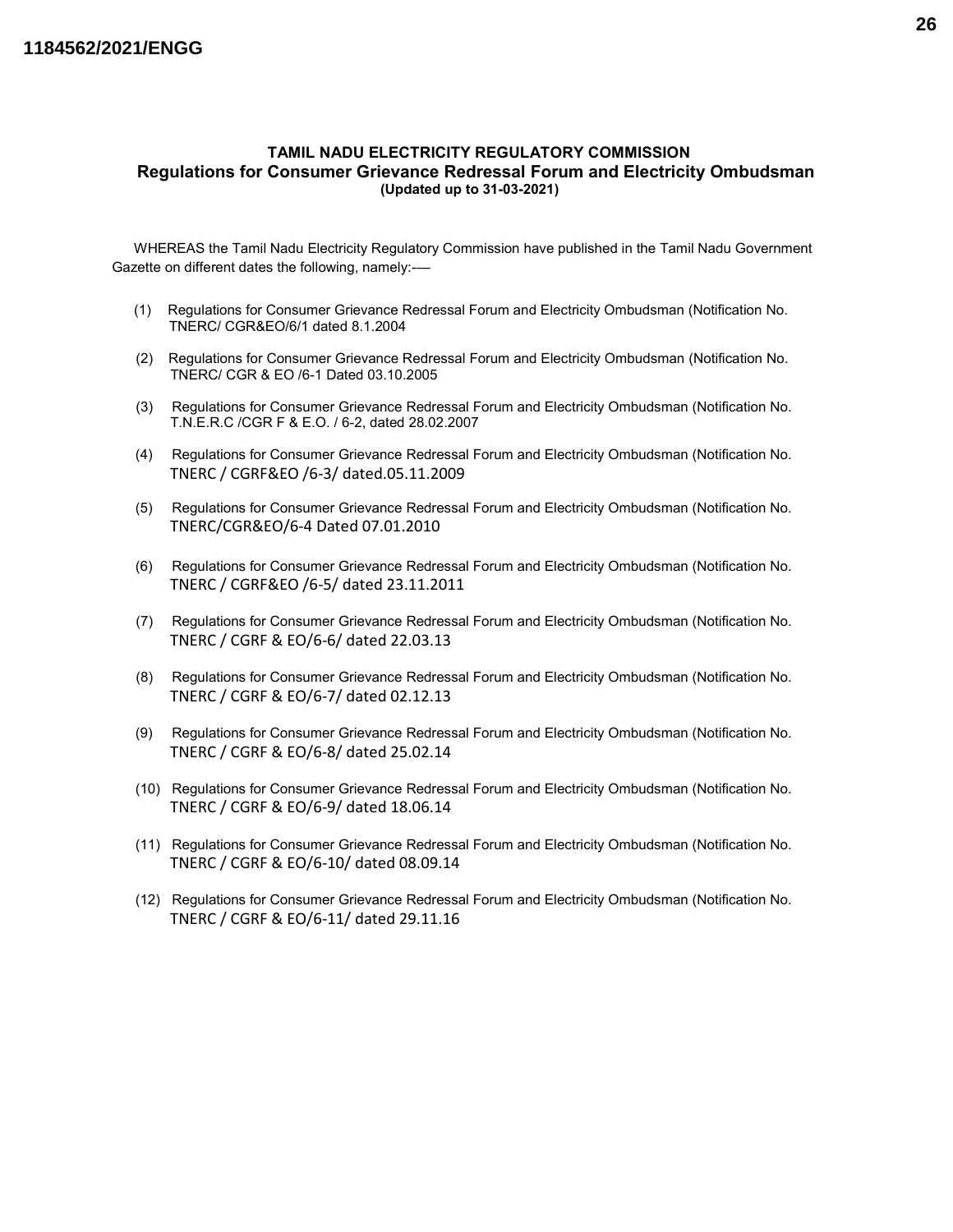#### TAMIL NADU ELECTRICITY REGULATORY COMMISSION Regulations for Consumer Grievance Redressal Forum and Electricity Ombudsman (Updated up to 31-03-2021)

WHEREAS the Tamil Nadu Electricity Regulatory Commission have published in the Tamil Nadu Government Gazette on different dates the following, namely:-—

- (1) Regulations for Consumer Grievance Redressal Forum and Electricity Ombudsman (Notification No. TNERC/ CGR&EO/6/1 dated 8.1.2004
- (2) Regulations for Consumer Grievance Redressal Forum and Electricity Ombudsman (Notification No. TNERC/ CGR & EO /6-1 Dated 03.10.2005
- (3) Regulations for Consumer Grievance Redressal Forum and Electricity Ombudsman (Notification No. T.N.E.R.C /CGR F & E.O. / 6-2, dated 28.02.2007
- (4) Regulations for Consumer Grievance Redressal Forum and Electricity Ombudsman (Notification No. TNERC / CGRF&EO /6-3/ dated.05.11.2009
- (5) Regulations for Consumer Grievance Redressal Forum and Electricity Ombudsman (Notification No. TNERC/CGR&EO/6-4 Dated 07.01.2010
- (6) Regulations for Consumer Grievance Redressal Forum and Electricity Ombudsman (Notification No. TNERC / CGRF&EO /6-5/ dated 23.11.2011
- (7) Regulations for Consumer Grievance Redressal Forum and Electricity Ombudsman (Notification No. TNERC / CGRF & EO/6-6/ dated 22.03.13
- (8) Regulations for Consumer Grievance Redressal Forum and Electricity Ombudsman (Notification No. TNERC / CGRF & EO/6-7/ dated 02.12.13
- (9) Regulations for Consumer Grievance Redressal Forum and Electricity Ombudsman (Notification No. TNERC / CGRF & EO/6-8/ dated 25.02.14
- (10) Regulations for Consumer Grievance Redressal Forum and Electricity Ombudsman (Notification No. TNERC / CGRF & EO/6-9/ dated 18.06.14
- (11) Regulations for Consumer Grievance Redressal Forum and Electricity Ombudsman (Notification No. TNERC / CGRF & EO/6-10/ dated 08.09.14
- (12) Regulations for Consumer Grievance Redressal Forum and Electricity Ombudsman (Notification No. TNERC / CGRF & EO/6-11/ dated 29.11.16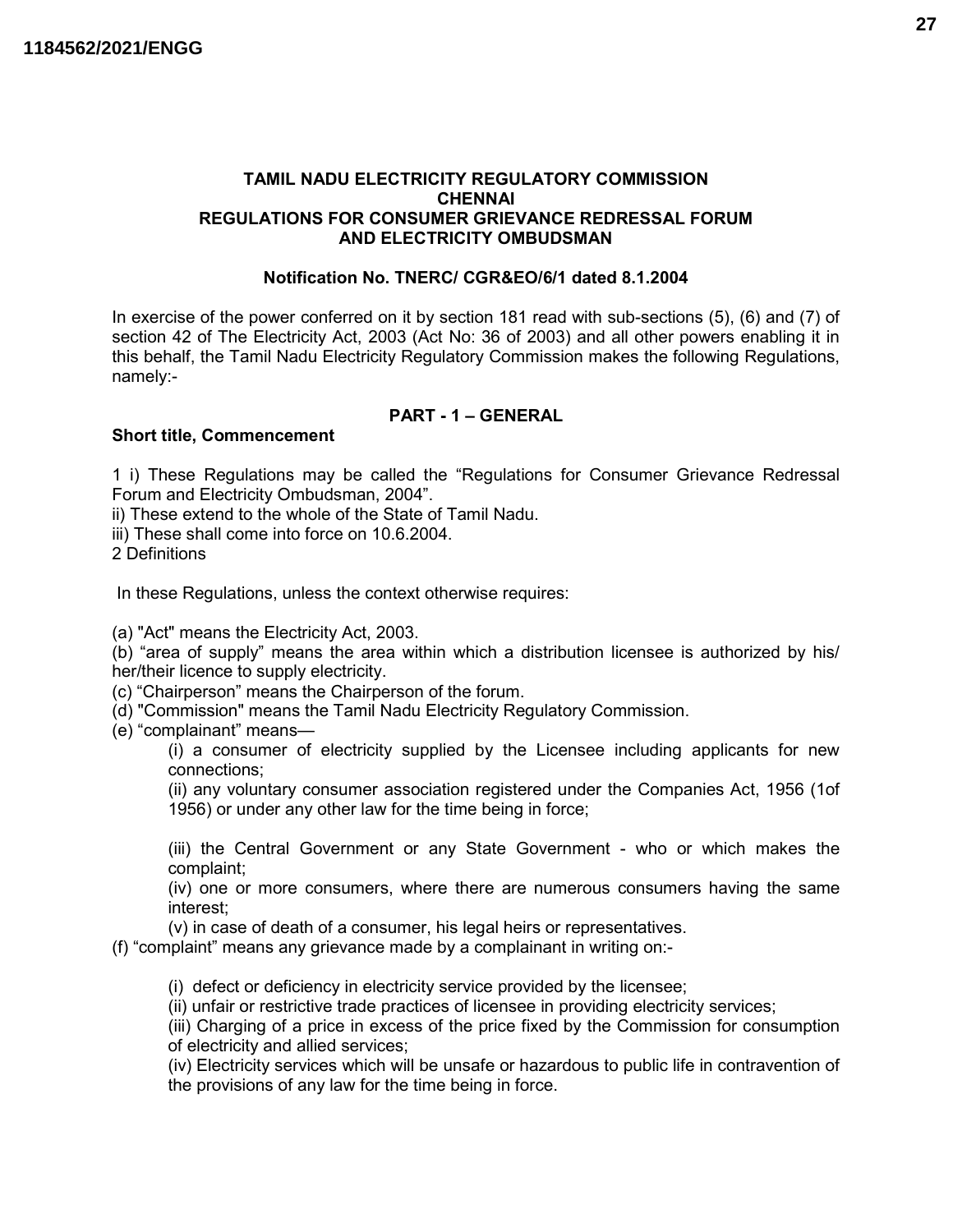#### TAMIL NADU ELECTRICITY REGULATORY COMMISSION **CHENNAI** REGULATIONS FOR CONSUMER GRIEVANCE REDRESSAL FORUM AND ELECTRICITY OMBUDSMAN

#### Notification No. TNERC/ CGR&EO/6/1 dated 8.1.2004

In exercise of the power conferred on it by section 181 read with sub-sections (5), (6) and (7) of section 42 of The Electricity Act, 2003 (Act No: 36 of 2003) and all other powers enabling it in this behalf, the Tamil Nadu Electricity Regulatory Commission makes the following Regulations, namely:-

## PART - 1 – GENERAL

## Short title, Commencement

1 i) These Regulations may be called the "Regulations for Consumer Grievance Redressal Forum and Electricity Ombudsman, 2004".

ii) These extend to the whole of the State of Tamil Nadu.

iii) These shall come into force on 10.6.2004.

2 Definitions

In these Regulations, unless the context otherwise requires:

(a) "Act" means the Electricity Act, 2003.

(b) "area of supply" means the area within which a distribution licensee is authorized by his/ her/their licence to supply electricity.

(c) "Chairperson" means the Chairperson of the forum.

(d) "Commission" means the Tamil Nadu Electricity Regulatory Commission.

(e) "complainant" means—

(i) a consumer of electricity supplied by the Licensee including applicants for new connections;

(ii) any voluntary consumer association registered under the Companies Act, 1956 (1of 1956) or under any other law for the time being in force;

(iii) the Central Government or any State Government - who or which makes the complaint;

(iv) one or more consumers, where there are numerous consumers having the same interest;

(v) in case of death of a consumer, his legal heirs or representatives.

(f) "complaint" means any grievance made by a complainant in writing on:-

(i) defect or deficiency in electricity service provided by the licensee;

(ii) unfair or restrictive trade practices of licensee in providing electricity services;

(iii) Charging of a price in excess of the price fixed by the Commission for consumption of electricity and allied services;

(iv) Electricity services which will be unsafe or hazardous to public life in contravention of the provisions of any law for the time being in force.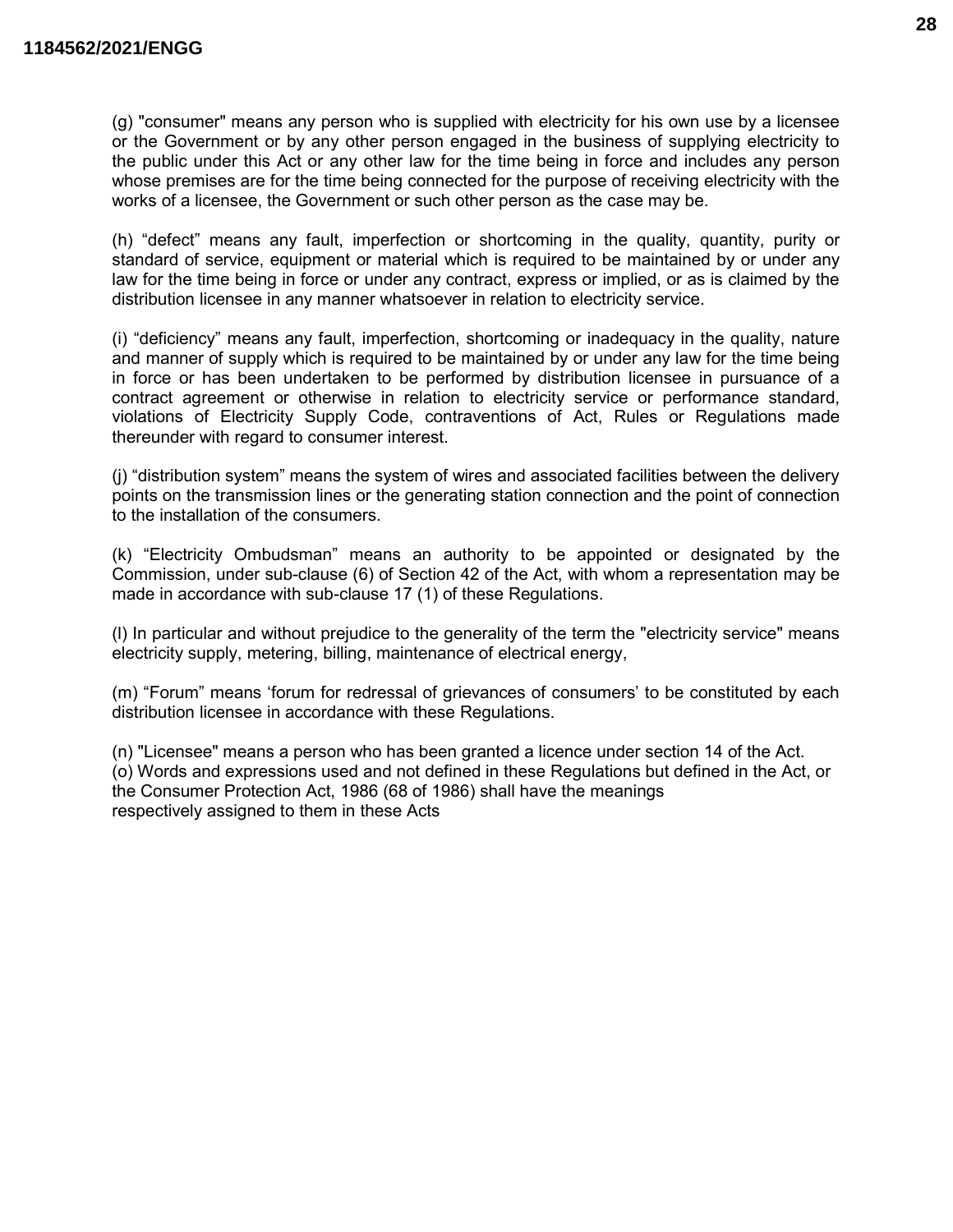(g) "consumer" means any person who is supplied with electricity for his own use by a licensee or the Government or by any other person engaged in the business of supplying electricity to the public under this Act or any other law for the time being in force and includes any person whose premises are for the time being connected for the purpose of receiving electricity with the works of a licensee, the Government or such other person as the case may be.

(h) "defect" means any fault, imperfection or shortcoming in the quality, quantity, purity or standard of service, equipment or material which is required to be maintained by or under any law for the time being in force or under any contract, express or implied, or as is claimed by the distribution licensee in any manner whatsoever in relation to electricity service.

(i) "deficiency" means any fault, imperfection, shortcoming or inadequacy in the quality, nature and manner of supply which is required to be maintained by or under any law for the time being in force or has been undertaken to be performed by distribution licensee in pursuance of a contract agreement or otherwise in relation to electricity service or performance standard, violations of Electricity Supply Code, contraventions of Act, Rules or Regulations made thereunder with regard to consumer interest.

(j) "distribution system" means the system of wires and associated facilities between the delivery points on the transmission lines or the generating station connection and the point of connection to the installation of the consumers.

(k) "Electricity Ombudsman" means an authority to be appointed or designated by the Commission, under sub-clause (6) of Section 42 of the Act, with whom a representation may be made in accordance with sub-clause 17 (1) of these Regulations.

(l) In particular and without prejudice to the generality of the term the "electricity service" means electricity supply, metering, billing, maintenance of electrical energy,

(m) "Forum" means 'forum for redressal of grievances of consumers' to be constituted by each distribution licensee in accordance with these Regulations.

(n) "Licensee" means a person who has been granted a licence under section 14 of the Act. (o) Words and expressions used and not defined in these Regulations but defined in the Act, or the Consumer Protection Act, 1986 (68 of 1986) shall have the meanings respectively assigned to them in these Acts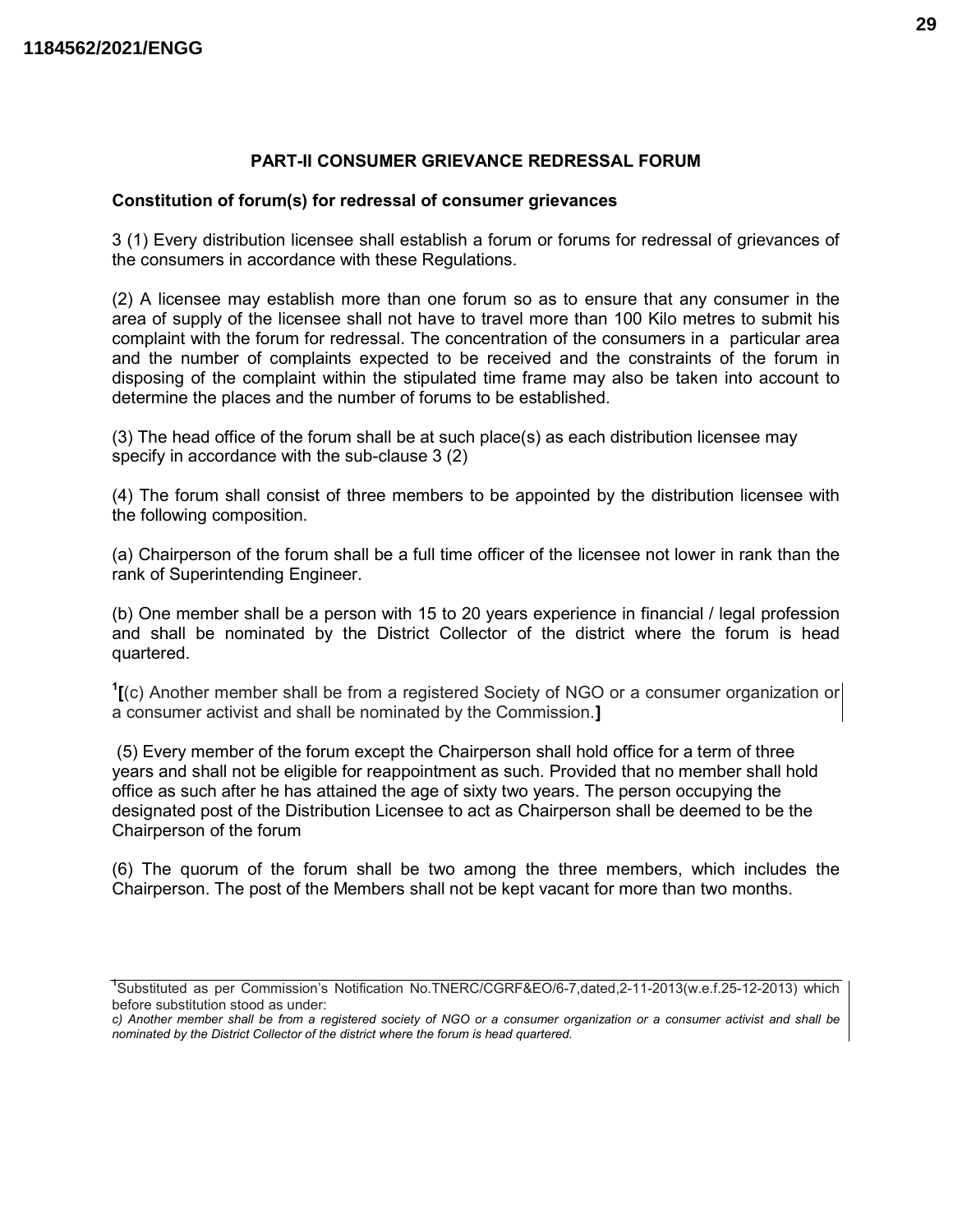#### PART-II CONSUMER GRIEVANCE REDRESSAL FORUM

#### Constitution of forum(s) for redressal of consumer grievances

3 (1) Every distribution licensee shall establish a forum or forums for redressal of grievances of the consumers in accordance with these Regulations.

(2) A licensee may establish more than one forum so as to ensure that any consumer in the area of supply of the licensee shall not have to travel more than 100 Kilo metres to submit his complaint with the forum for redressal. The concentration of the consumers in a particular area and the number of complaints expected to be received and the constraints of the forum in disposing of the complaint within the stipulated time frame may also be taken into account to determine the places and the number of forums to be established.

(3) The head office of the forum shall be at such place(s) as each distribution licensee may specify in accordance with the sub-clause 3 (2)

(4) The forum shall consist of three members to be appointed by the distribution licensee with the following composition.

(a) Chairperson of the forum shall be a full time officer of the licensee not lower in rank than the rank of Superintending Engineer.

(b) One member shall be a person with 15 to 20 years experience in financial / legal profession and shall be nominated by the District Collector of the district where the forum is head quartered.

 $\Gamma$ [(c) Another member shall be from a registered Society of NGO or a consumer organization or a consumer activist and shall be nominated by the Commission.]

 (5) Every member of the forum except the Chairperson shall hold office for a term of three years and shall not be eligible for reappointment as such. Provided that no member shall hold office as such after he has attained the age of sixty two years. The person occupying the designated post of the Distribution Licensee to act as Chairperson shall be deemed to be the Chairperson of the forum

(6) The quorum of the forum shall be two among the three members, which includes the Chairperson. The post of the Members shall not be kept vacant for more than two months.

<sup>1</sup>Substituted as per Commission's Notification No.TNERC/CGRF&EO/6-7,dated,2-11-2013(w.e.f.25-12-2013) which before substitution stood as under:

c) Another member shall be from a registered society of NGO or a consumer organization or a consumer activist and shall be nominated by the District Collector of the district where the forum is head quartered.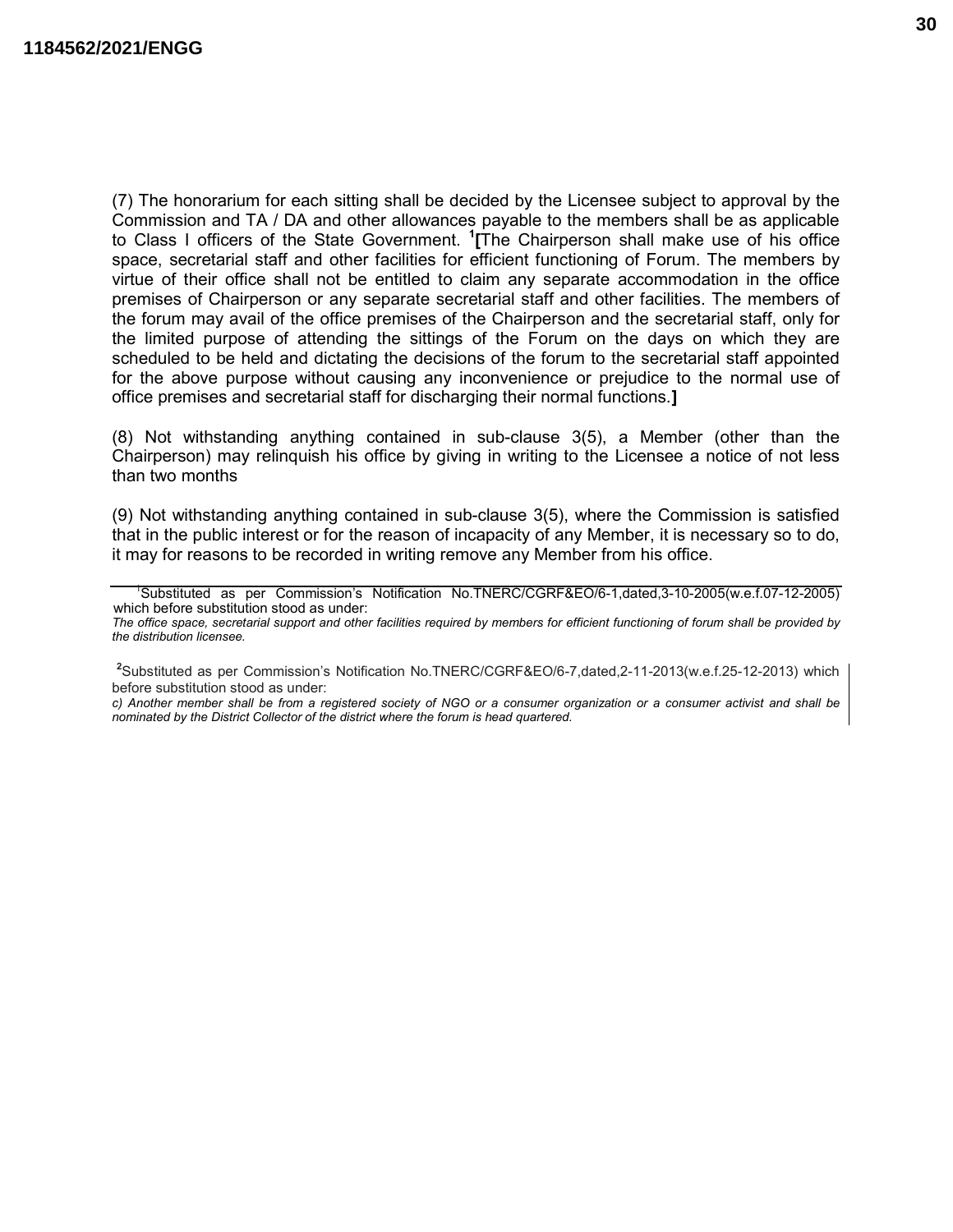(7) The honorarium for each sitting shall be decided by the Licensee subject to approval by the Commission and TA / DA and other allowances payable to the members shall be as applicable to Class I officers of the State Government. <sup>1</sup> [The Chairperson shall make use of his office space, secretarial staff and other facilities for efficient functioning of Forum. The members by virtue of their office shall not be entitled to claim any separate accommodation in the office premises of Chairperson or any separate secretarial staff and other facilities. The members of the forum may avail of the office premises of the Chairperson and the secretarial staff, only for the limited purpose of attending the sittings of the Forum on the days on which they are scheduled to be held and dictating the decisions of the forum to the secretarial staff appointed for the above purpose without causing any inconvenience or prejudice to the normal use of office premises and secretarial staff for discharging their normal functions.]

(8) Not withstanding anything contained in sub-clause 3(5), a Member (other than the Chairperson) may relinquish his office by giving in writing to the Licensee a notice of not less than two months

(9) Not withstanding anything contained in sub-clause 3(5), where the Commission is satisfied that in the public interest or for the reason of incapacity of any Member, it is necessary so to do, it may for reasons to be recorded in writing remove any Member from his office.

c) Another member shall be from a registered society of NGO or a consumer organization or a consumer activist and shall be nominated by the District Collector of the district where the forum is head quartered.

<sup>1</sup>Substituted as per Commission's Notification No.TNERC/CGRF&EO/6-1,dated,3-10-2005(w.e.f.07-12-2005) which before substitution stood as under:

The office space, secretarial support and other facilities required by members for efficient functioning of forum shall be provided by the distribution licensee.

<sup>&</sup>lt;sup>2</sup>Substituted as per Commission's Notification No.TNERC/CGRF&EO/6-7,dated,2-11-2013(w.e.f.25-12-2013) which before substitution stood as under: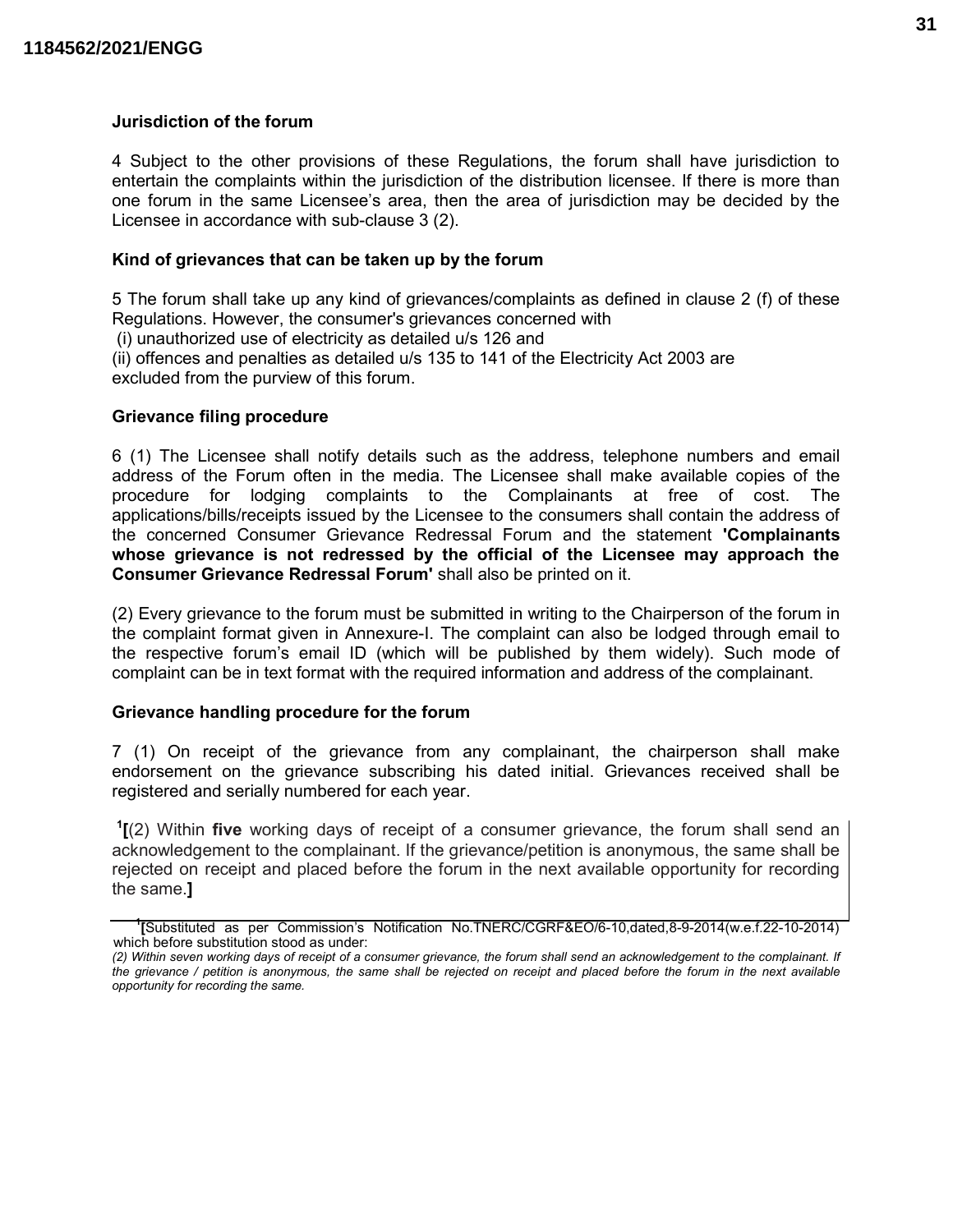#### Jurisdiction of the forum

4 Subject to the other provisions of these Regulations, the forum shall have jurisdiction to entertain the complaints within the jurisdiction of the distribution licensee. If there is more than one forum in the same Licensee's area, then the area of jurisdiction may be decided by the Licensee in accordance with sub-clause 3 (2).

#### Kind of grievances that can be taken up by the forum

5 The forum shall take up any kind of grievances/complaints as defined in clause 2 (f) of these Regulations. However, the consumer's grievances concerned with

(i) unauthorized use of electricity as detailed u/s 126 and

(ii) offences and penalties as detailed u/s 135 to 141 of the Electricity Act 2003 are excluded from the purview of this forum.

#### Grievance filing procedure

6 (1) The Licensee shall notify details such as the address, telephone numbers and email address of the Forum often in the media. The Licensee shall make available copies of the procedure for lodging complaints to the Complainants at free of cost. The applications/bills/receipts issued by the Licensee to the consumers shall contain the address of the concerned Consumer Grievance Redressal Forum and the statement 'Complainants whose grievance is not redressed by the official of the Licensee may approach the Consumer Grievance Redressal Forum' shall also be printed on it.

(2) Every grievance to the forum must be submitted in writing to the Chairperson of the forum in the complaint format given in Annexure-I. The complaint can also be lodged through email to the respective forum's email ID (which will be published by them widely). Such mode of complaint can be in text format with the required information and address of the complainant.

#### Grievance handling procedure for the forum

7 (1) On receipt of the grievance from any complainant, the chairperson shall make endorsement on the grievance subscribing his dated initial. Grievances received shall be registered and serially numbered for each year.

 $I(2)$  Within five working days of receipt of a consumer grievance, the forum shall send an acknowledgement to the complainant. If the grievance/petition is anonymous, the same shall be rejected on receipt and placed before the forum in the next available opportunity for recording the same.]

<sup>1</sup> [Substituted as per Commission's Notification No.TNERC/CGRF&EO/6-10,dated,8-9-2014(w.e.f.22-10-2014) which before substitution stood as under:

<sup>(2)</sup> Within seven working days of receipt of a consumer grievance, the forum shall send an acknowledgement to the complainant. If the grievance / petition is anonymous, the same shall be rejected on receipt and placed before the forum in the next available opportunity for recording the same.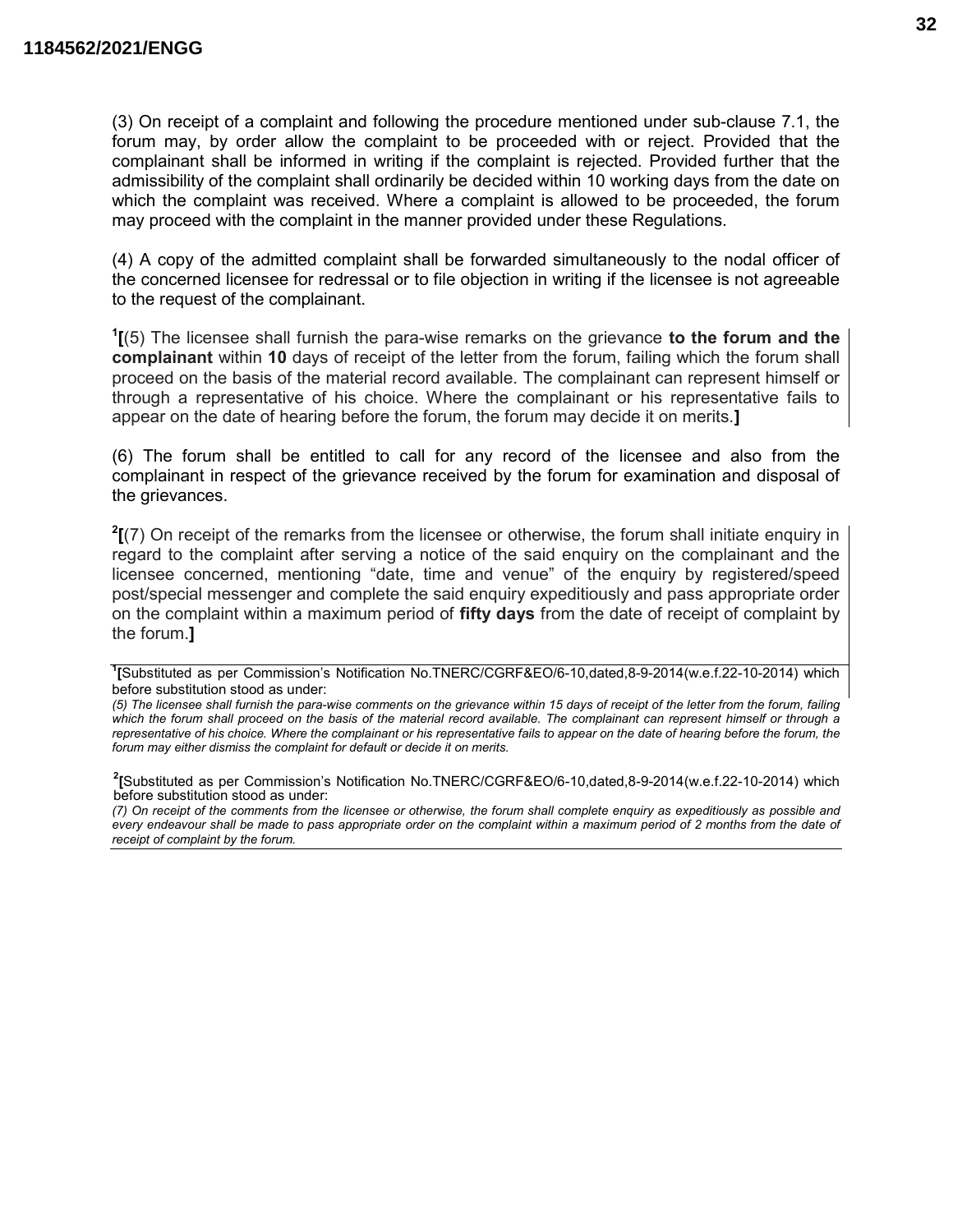(3) On receipt of a complaint and following the procedure mentioned under sub-clause 7.1, the forum may, by order allow the complaint to be proceeded with or reject. Provided that the complainant shall be informed in writing if the complaint is rejected. Provided further that the admissibility of the complaint shall ordinarily be decided within 10 working days from the date on which the complaint was received. Where a complaint is allowed to be proceeded, the forum may proceed with the complaint in the manner provided under these Regulations.

(4) A copy of the admitted complaint shall be forwarded simultaneously to the nodal officer of the concerned licensee for redressal or to file objection in writing if the licensee is not agreeable to the request of the complainant.

 $1(5)$  The licensee shall furnish the para-wise remarks on the grievance to the forum and the complainant within 10 days of receipt of the letter from the forum, failing which the forum shall proceed on the basis of the material record available. The complainant can represent himself or through a representative of his choice. Where the complainant or his representative fails to appear on the date of hearing before the forum, the forum may decide it on merits.]

(6) The forum shall be entitled to call for any record of the licensee and also from the complainant in respect of the grievance received by the forum for examination and disposal of the grievances.

 $2<sub>[7]</sub>$  On receipt of the remarks from the licensee or otherwise, the forum shall initiate enquiry in regard to the complaint after serving a notice of the said enquiry on the complainant and the licensee concerned, mentioning "date, time and venue" of the enquiry by registered/speed post/special messenger and complete the said enquiry expeditiously and pass appropriate order on the complaint within a maximum period of fifty days from the date of receipt of complaint by the forum.]

<sup>&</sup>lt;sup>1</sup>[Substituted as per Commission's Notification No.TNERC/CGRF&EO/6-10,dated,8-9-2014(w.e.f.22-10-2014) which before substitution stood as under:

<sup>(5)</sup> The licensee shall furnish the para-wise comments on the grievance within 15 days of receipt of the letter from the forum, failing which the forum shall proceed on the basis of the material record available. The complainant can represent himself or through a representative of his choice. Where the complainant or his representative fails to appear on the date of hearing before the forum, the forum may either dismiss the complaint for default or decide it on merits.

<sup>2</sup> [Substituted as per Commission's Notification No.TNERC/CGRF&EO/6-10,dated,8-9-2014(w.e.f.22-10-2014) which before substitution stood as under:

<sup>(7)</sup> On receipt of the comments from the licensee or otherwise, the forum shall complete enquiry as expeditiously as possible and every endeavour shall be made to pass appropriate order on the complaint within a maximum period of 2 months from the date of receipt of complaint by the forum.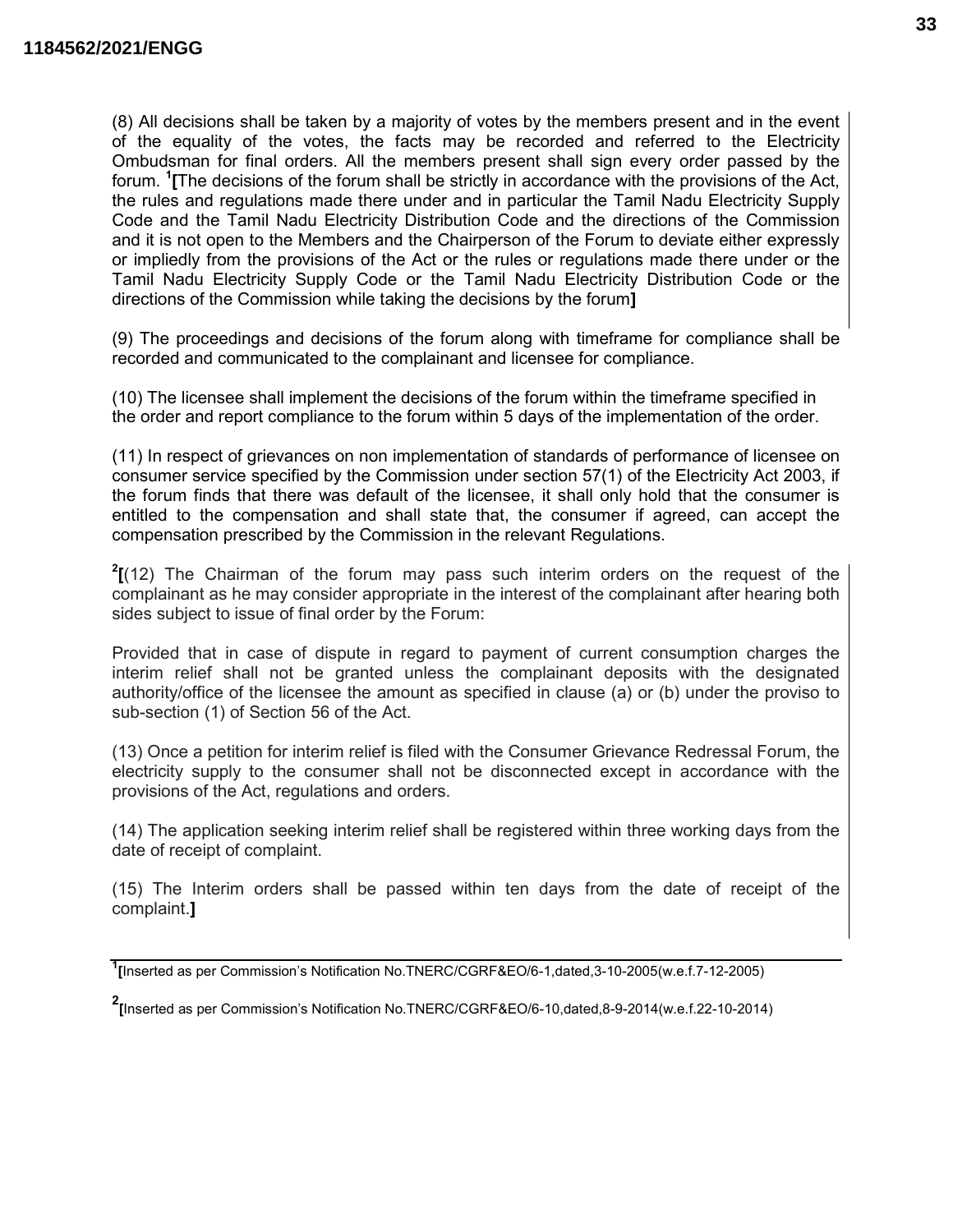(8) All decisions shall be taken by a majority of votes by the members present and in the event of the equality of the votes, the facts may be recorded and referred to the Electricity Ombudsman for final orders. All the members present shall sign every order passed by the forum. <sup>1</sup> [The decisions of the forum shall be strictly in accordance with the provisions of the Act, the rules and regulations made there under and in particular the Tamil Nadu Electricity Supply Code and the Tamil Nadu Electricity Distribution Code and the directions of the Commission and it is not open to the Members and the Chairperson of the Forum to deviate either expressly or impliedly from the provisions of the Act or the rules or regulations made there under or the Tamil Nadu Electricity Supply Code or the Tamil Nadu Electricity Distribution Code or the directions of the Commission while taking the decisions by the forum]

(9) The proceedings and decisions of the forum along with timeframe for compliance shall be recorded and communicated to the complainant and licensee for compliance.

(10) The licensee shall implement the decisions of the forum within the timeframe specified in the order and report compliance to the forum within 5 days of the implementation of the order.

(11) In respect of grievances on non implementation of standards of performance of licensee on consumer service specified by the Commission under section 57(1) of the Electricity Act 2003, if the forum finds that there was default of the licensee, it shall only hold that the consumer is entitled to the compensation and shall state that, the consumer if agreed, can accept the compensation prescribed by the Commission in the relevant Regulations.

 $2$ [(12) The Chairman of the forum may pass such interim orders on the request of the complainant as he may consider appropriate in the interest of the complainant after hearing both sides subject to issue of final order by the Forum:

Provided that in case of dispute in regard to payment of current consumption charges the interim relief shall not be granted unless the complainant deposits with the designated authority/office of the licensee the amount as specified in clause (a) or (b) under the proviso to sub-section (1) of Section 56 of the Act.

(13) Once a petition for interim relief is filed with the Consumer Grievance Redressal Forum, the electricity supply to the consumer shall not be disconnected except in accordance with the provisions of the Act, regulations and orders.

(14) The application seeking interim relief shall be registered within three working days from the date of receipt of complaint.

(15) The Interim orders shall be passed within ten days from the date of receipt of the complaint.]

<sup>1</sup> [Inserted as per Commission's Notification No.TNERC/CGRF&EO/6-1,dated,3-10-2005(w.e.f.7-12-2005)

<sup>2</sup> [Inserted as per Commission's Notification No.TNERC/CGRF&EO/6-10,dated,8-9-2014(w.e.f.22-10-2014)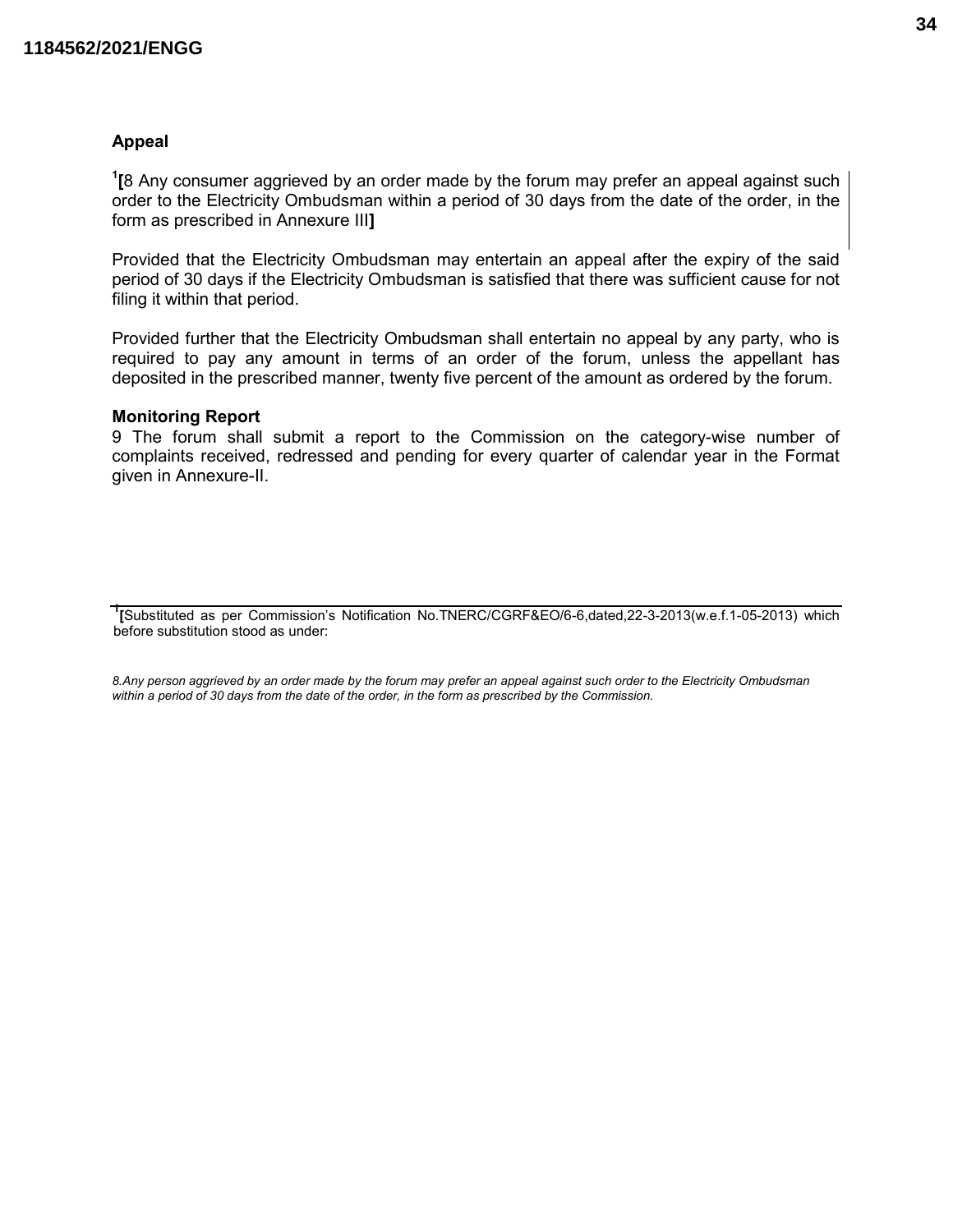#### Appeal

<sup>1</sup>[8 Any consumer aggrieved by an order made by the forum may prefer an appeal against such order to the Electricity Ombudsman within a period of 30 days from the date of the order, in the form as prescribed in Annexure III]

Provided that the Electricity Ombudsman may entertain an appeal after the expiry of the said period of 30 days if the Electricity Ombudsman is satisfied that there was sufficient cause for not filing it within that period.

Provided further that the Electricity Ombudsman shall entertain no appeal by any party, who is required to pay any amount in terms of an order of the forum, unless the appellant has deposited in the prescribed manner, twenty five percent of the amount as ordered by the forum.

#### Monitoring Report

9 The forum shall submit a report to the Commission on the category-wise number of complaints received, redressed and pending for every quarter of calendar year in the Format given in Annexure-II.

<sup>1</sup>[Substituted as per Commission's Notification No.TNERC/CGRF&EO/6-6,dated,22-3-2013(w.e.f.1-05-2013) which before substitution stood as under:

8.Any person aggrieved by an order made by the forum may prefer an appeal against such order to the Electricity Ombudsman within a period of 30 days from the date of the order, in the form as prescribed by the Commission.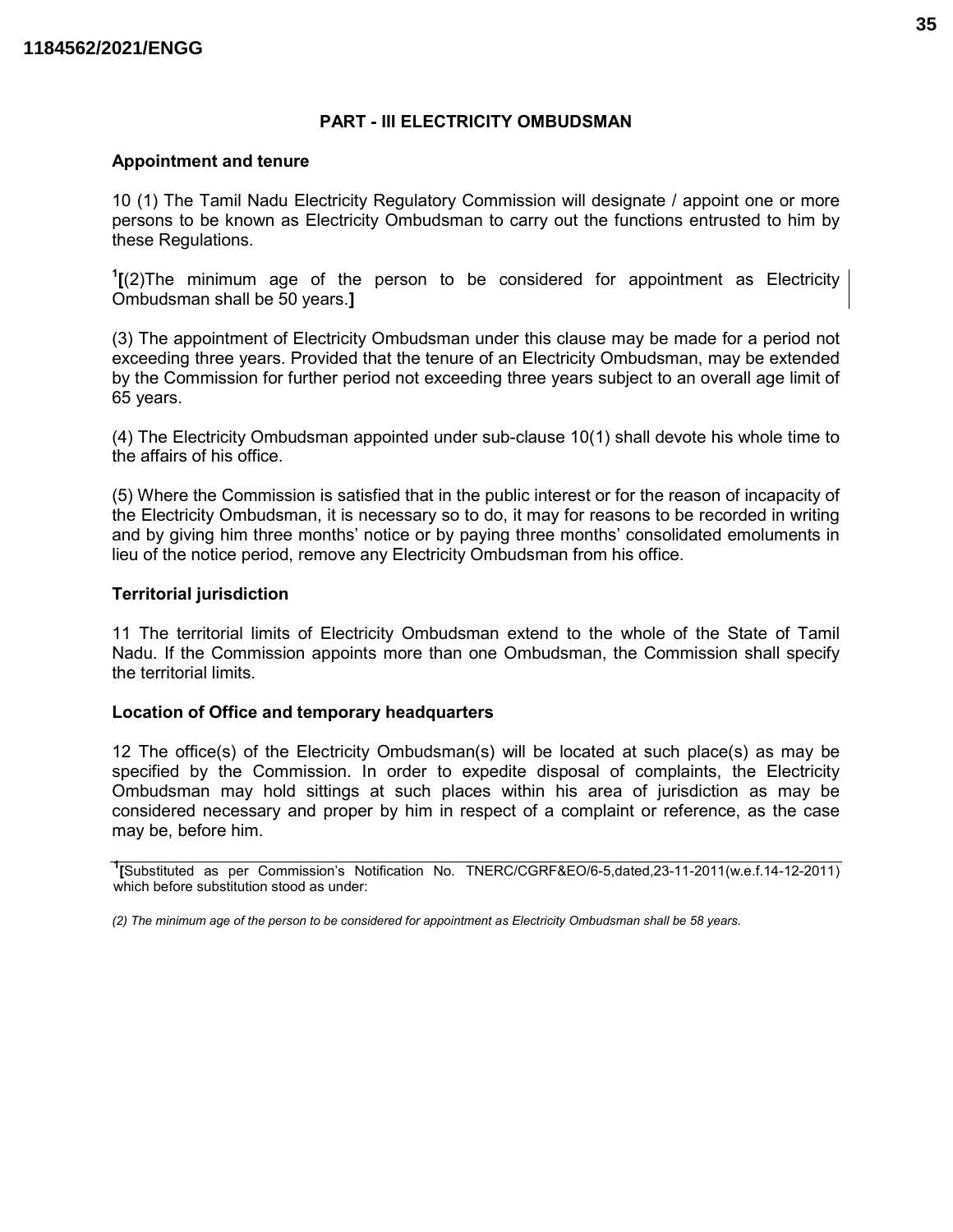#### PART - III ELECTRICITY OMBUDSMAN

#### Appointment and tenure

10 (1) The Tamil Nadu Electricity Regulatory Commission will designate / appoint one or more persons to be known as Electricity Ombudsman to carry out the functions entrusted to him by these Regulations.

 $1$ [(2)The minimum age of the person to be considered for appointment as Electricity Ombudsman shall be 50 years.]

(3) The appointment of Electricity Ombudsman under this clause may be made for a period not exceeding three years. Provided that the tenure of an Electricity Ombudsman, may be extended by the Commission for further period not exceeding three years subject to an overall age limit of 65 years.

(4) The Electricity Ombudsman appointed under sub-clause 10(1) shall devote his whole time to the affairs of his office.

(5) Where the Commission is satisfied that in the public interest or for the reason of incapacity of the Electricity Ombudsman, it is necessary so to do, it may for reasons to be recorded in writing and by giving him three months' notice or by paying three months' consolidated emoluments in lieu of the notice period, remove any Electricity Ombudsman from his office.

#### Territorial jurisdiction

11 The territorial limits of Electricity Ombudsman extend to the whole of the State of Tamil Nadu. If the Commission appoints more than one Ombudsman, the Commission shall specify the territorial limits.

#### Location of Office and temporary headquarters

12 The office(s) of the Electricity Ombudsman(s) will be located at such place(s) as may be specified by the Commission. In order to expedite disposal of complaints, the Electricity Ombudsman may hold sittings at such places within his area of jurisdiction as may be considered necessary and proper by him in respect of a complaint or reference, as the case may be, before him.

(2) The minimum age of the person to be considered for appointment as Electricity Ombudsman shall be 58 years.

<sup>&</sup>lt;sup>1</sup>[Substituted as per Commission's Notification No. TNERC/CGRF&EO/6-5,dated,23-11-2011(w.e.f.14-12-2011) which before substitution stood as under: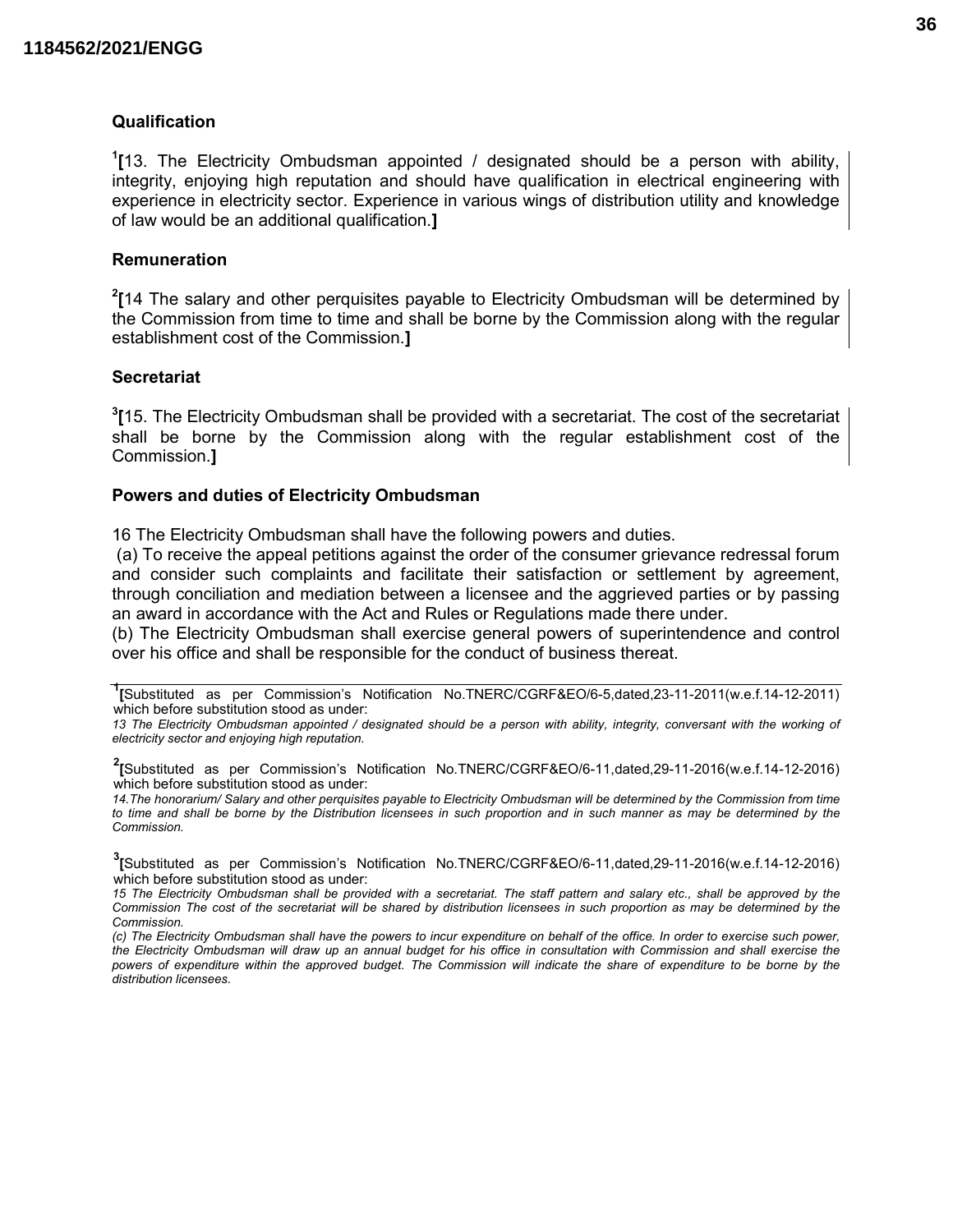#### Qualification

<sup>1</sup>[13. The Electricity Ombudsman appointed / designated should be a person with ability, integrity, enjoying high reputation and should have qualification in electrical engineering with experience in electricity sector. Experience in various wings of distribution utility and knowledge of law would be an additional qualification.]

#### Remuneration

 $2$ [14 The salary and other perquisites payable to Electricity Ombudsman will be determined by the Commission from time to time and shall be borne by the Commission along with the regular establishment cost of the Commission.]

#### **Secretariat**

 ${}^{3}$ [15. The Electricity Ombudsman shall be provided with a secretariat. The cost of the secretariat shall be borne by the Commission along with the regular establishment cost of the Commission.]

#### Powers and duties of Electricity Ombudsman

16 The Electricity Ombudsman shall have the following powers and duties.

 (a) To receive the appeal petitions against the order of the consumer grievance redressal forum and consider such complaints and facilitate their satisfaction or settlement by agreement, through conciliation and mediation between a licensee and the aggrieved parties or by passing an award in accordance with the Act and Rules or Regulations made there under.

(b) The Electricity Ombudsman shall exercise general powers of superintendence and control over his office and shall be responsible for the conduct of business thereat.

1 [Substituted as per Commission's Notification No.TNERC/CGRF&EO/6-5,dated,23-11-2011(w.e.f.14-12-2011) which before substitution stood as under:

13 The Electricity Ombudsman appointed / designated should be a person with ability, integrity, conversant with the working of electricity sector and enjoying high reputation.

2 [Substituted as per Commission's Notification No.TNERC/CGRF&EO/6-11,dated,29-11-2016(w.e.f.14-12-2016) which before substitution stood as under:

14.The honorarium/ Salary and other perquisites payable to Electricity Ombudsman will be determined by the Commission from time to time and shall be borne by the Distribution licensees in such proportion and in such manner as may be determined by the **Commission** 

3 [Substituted as per Commission's Notification No.TNERC/CGRF&EO/6-11,dated,29-11-2016(w.e.f.14-12-2016) which before substitution stood as under:

15 The Electricity Ombudsman shall be provided with a secretariat. The staff pattern and salary etc., shall be approved by the Commission The cost of the secretariat will be shared by distribution licensees in such proportion as may be determined by the **Commission** 

(c) The Electricity Ombudsman shall have the powers to incur expenditure on behalf of the office. In order to exercise such power, the Electricity Ombudsman will draw up an annual budget for his office in consultation with Commission and shall exercise the powers of expenditure within the approved budget. The Commission will indicate the share of expenditure to be borne by the distribution licensees.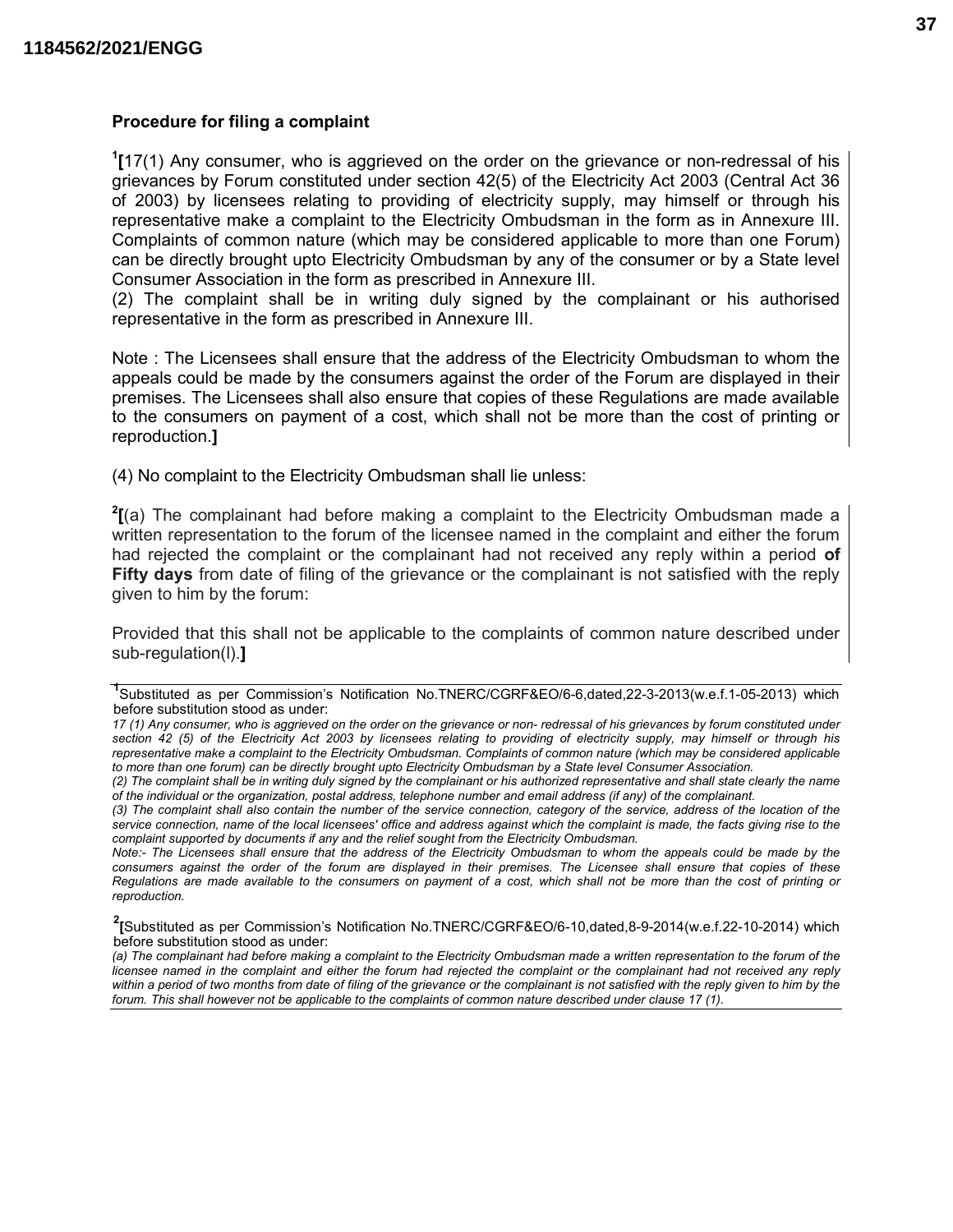#### Procedure for filing a complaint

 $1$ [17(1) Any consumer, who is aggrieved on the order on the grievance or non-redressal of his grievances by Forum constituted under section 42(5) of the Electricity Act 2003 (Central Act 36 of 2003) by licensees relating to providing of electricity supply, may himself or through his representative make a complaint to the Electricity Ombudsman in the form as in Annexure III. Complaints of common nature (which may be considered applicable to more than one Forum) can be directly brought upto Electricity Ombudsman by any of the consumer or by a State level Consumer Association in the form as prescribed in Annexure III.

(2) The complaint shall be in writing duly signed by the complainant or his authorised representative in the form as prescribed in Annexure III.

Note : The Licensees shall ensure that the address of the Electricity Ombudsman to whom the appeals could be made by the consumers against the order of the Forum are displayed in their premises. The Licensees shall also ensure that copies of these Regulations are made available to the consumers on payment of a cost, which shall not be more than the cost of printing or reproduction.]

(4) No complaint to the Electricity Ombudsman shall lie unless:

 $2$ [(a) The complainant had before making a complaint to the Electricity Ombudsman made a written representation to the forum of the licensee named in the complaint and either the forum had rejected the complaint or the complainant had not received any reply within a period of Fifty days from date of filing of the grievance or the complainant is not satisfied with the reply given to him by the forum:

Provided that this shall not be applicable to the complaints of common nature described under sub-regulation(l).]

<sup>1</sup>Substituted as per Commission's Notification No.TNERC/CGRF&EO/6-6,dated,22-3-2013(w.e.f.1-05-2013) which before substitution stood as under:

<sup>17 (1)</sup> Any consumer, who is aggrieved on the order on the grievance or non- redressal of his grievances by forum constituted under section 42 (5) of the Electricity Act 2003 by licensees relating to providing of electricity supply, may himself or through his representative make a complaint to the Electricity Ombudsman. Complaints of common nature (which may be considered applicable to more than one forum) can be directly brought upto Electricity Ombudsman by a State level Consumer Association.

<sup>(2)</sup> The complaint shall be in writing duly signed by the complainant or his authorized representative and shall state clearly the name of the individual or the organization, postal address, telephone number and email address (if any) of the complainant.

<sup>(3)</sup> The complaint shall also contain the number of the service connection, category of the service, address of the location of the service connection, name of the local licensees' office and address against which the complaint is made, the facts giving rise to the complaint supported by documents if any and the relief sought from the Electricity Ombudsman.

Note:- The Licensees shall ensure that the address of the Electricity Ombudsman to whom the appeals could be made by the consumers against the order of the forum are displayed in their premises. The Licensee shall ensure that copies of these Regulations are made available to the consumers on payment of a cost, which shall not be more than the cost of printing or reproduction.  $\overline{a}$ 

<sup>2</sup> [Substituted as per Commission's Notification No.TNERC/CGRF&EO/6-10,dated,8-9-2014(w.e.f.22-10-2014) which before substitution stood as under:

<sup>(</sup>a) The complainant had before making a complaint to the Electricity Ombudsman made a written representation to the forum of the licensee named in the complaint and either the forum had rejected the complaint or the complainant had not received any reply within a period of two months from date of filing of the grievance or the complainant is not satisfied with the reply given to him by the forum. This shall however not be applicable to the complaints of common nature described under clause 17 (1).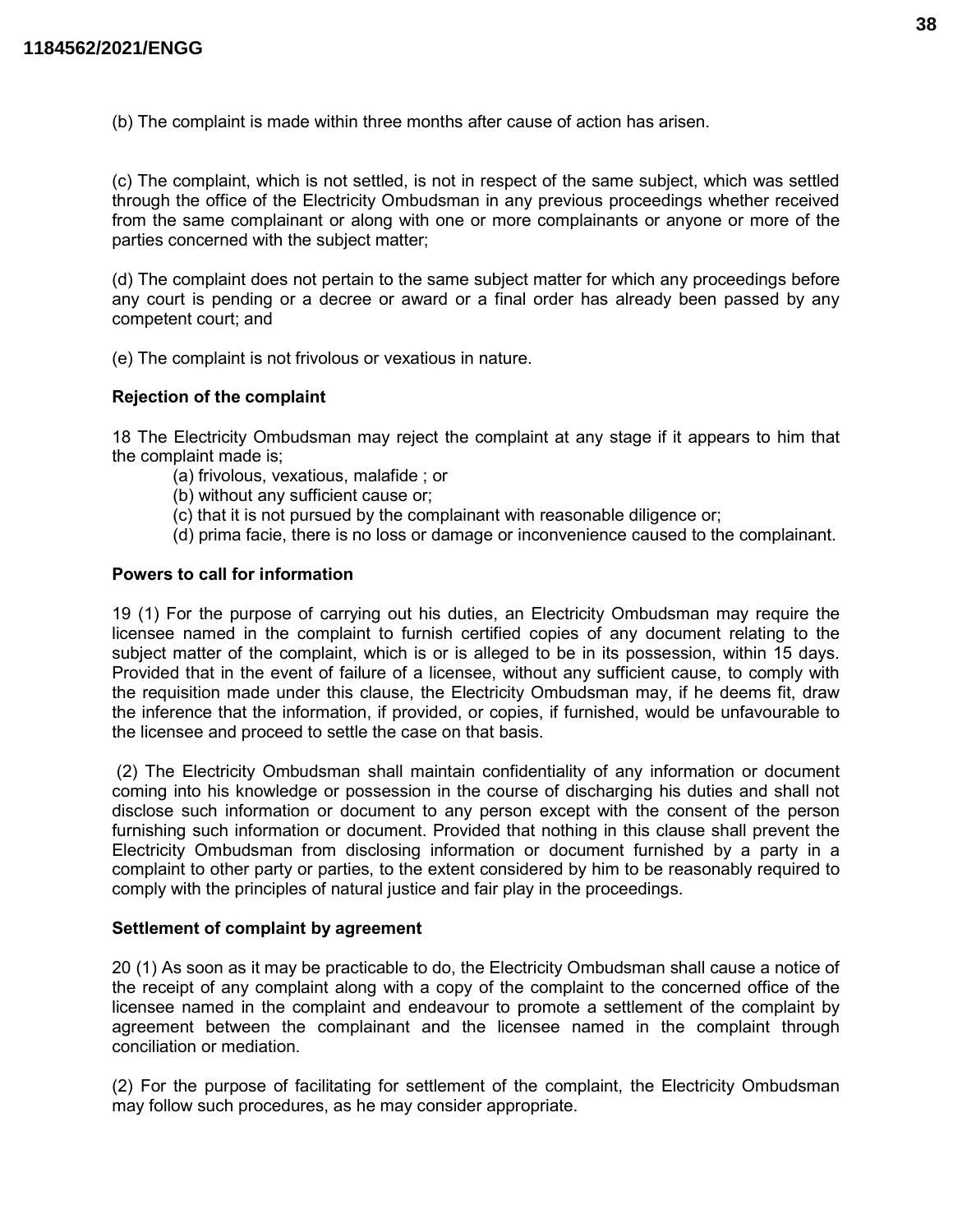(b) The complaint is made within three months after cause of action has arisen.

(c) The complaint, which is not settled, is not in respect of the same subject, which was settled through the office of the Electricity Ombudsman in any previous proceedings whether received from the same complainant or along with one or more complainants or anyone or more of the parties concerned with the subject matter;

(d) The complaint does not pertain to the same subject matter for which any proceedings before any court is pending or a decree or award or a final order has already been passed by any competent court; and

(e) The complaint is not frivolous or vexatious in nature.

#### Rejection of the complaint

18 The Electricity Ombudsman may reject the complaint at any stage if it appears to him that the complaint made is;

- (a) frivolous, vexatious, malafide ; or
- (b) without any sufficient cause or;
- (c) that it is not pursued by the complainant with reasonable diligence or;
- (d) prima facie, there is no loss or damage or inconvenience caused to the complainant.

## Powers to call for information

19 (1) For the purpose of carrying out his duties, an Electricity Ombudsman may require the licensee named in the complaint to furnish certified copies of any document relating to the subject matter of the complaint, which is or is alleged to be in its possession, within 15 days. Provided that in the event of failure of a licensee, without any sufficient cause, to comply with the requisition made under this clause, the Electricity Ombudsman may, if he deems fit, draw the inference that the information, if provided, or copies, if furnished, would be unfavourable to the licensee and proceed to settle the case on that basis.

 (2) The Electricity Ombudsman shall maintain confidentiality of any information or document coming into his knowledge or possession in the course of discharging his duties and shall not disclose such information or document to any person except with the consent of the person furnishing such information or document. Provided that nothing in this clause shall prevent the Electricity Ombudsman from disclosing information or document furnished by a party in a complaint to other party or parties, to the extent considered by him to be reasonably required to comply with the principles of natural justice and fair play in the proceedings.

#### Settlement of complaint by agreement

20 (1) As soon as it may be practicable to do, the Electricity Ombudsman shall cause a notice of the receipt of any complaint along with a copy of the complaint to the concerned office of the licensee named in the complaint and endeavour to promote a settlement of the complaint by agreement between the complainant and the licensee named in the complaint through conciliation or mediation.

(2) For the purpose of facilitating for settlement of the complaint, the Electricity Ombudsman may follow such procedures, as he may consider appropriate.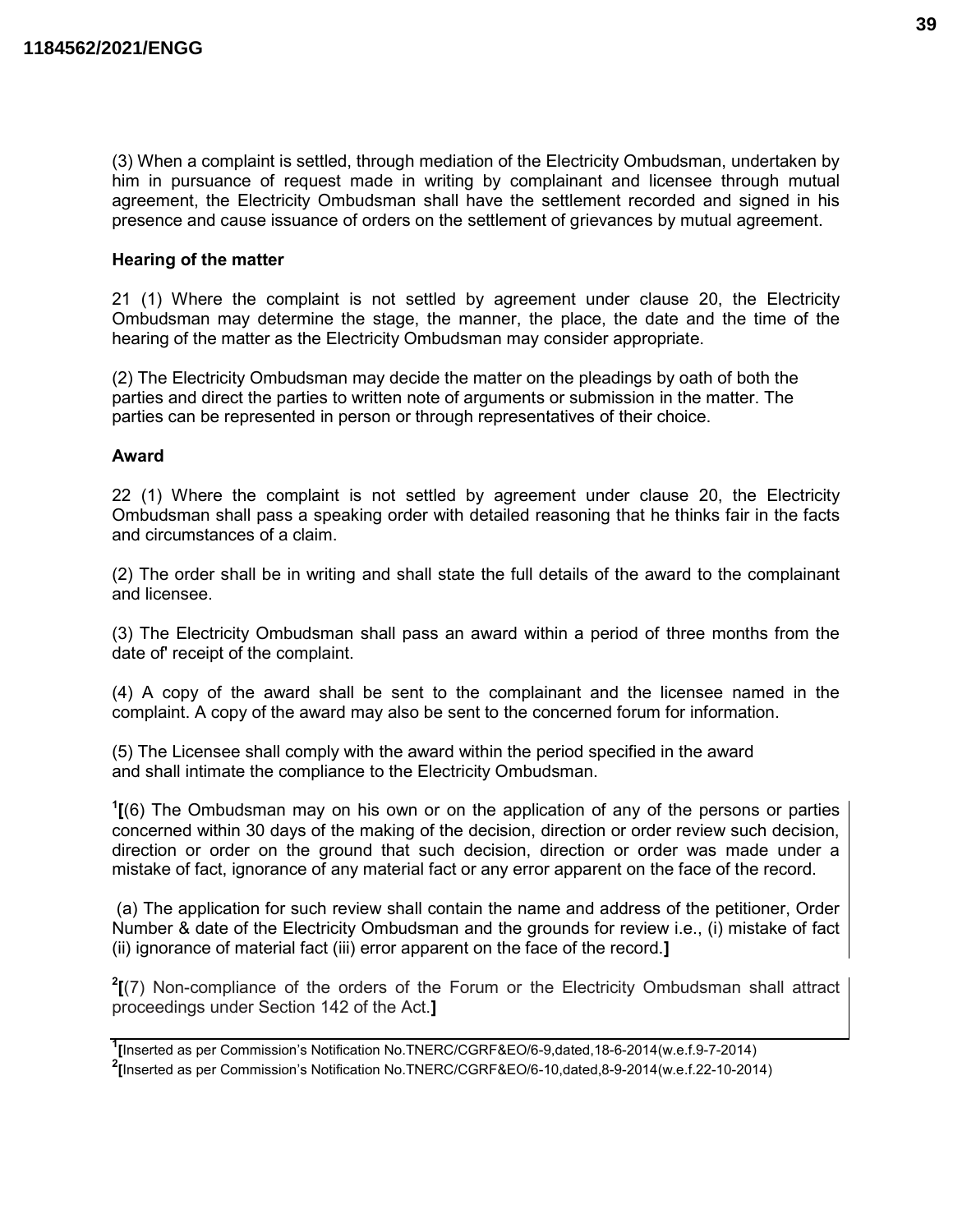(3) When a complaint is settled, through mediation of the Electricity Ombudsman, undertaken by him in pursuance of request made in writing by complainant and licensee through mutual agreement, the Electricity Ombudsman shall have the settlement recorded and signed in his presence and cause issuance of orders on the settlement of grievances by mutual agreement.

#### Hearing of the matter

21 (1) Where the complaint is not settled by agreement under clause 20, the Electricity Ombudsman may determine the stage, the manner, the place, the date and the time of the hearing of the matter as the Electricity Ombudsman may consider appropriate.

(2) The Electricity Ombudsman may decide the matter on the pleadings by oath of both the parties and direct the parties to written note of arguments or submission in the matter. The parties can be represented in person or through representatives of their choice.

#### Award

22 (1) Where the complaint is not settled by agreement under clause 20, the Electricity Ombudsman shall pass a speaking order with detailed reasoning that he thinks fair in the facts and circumstances of a claim.

(2) The order shall be in writing and shall state the full details of the award to the complainant and licensee.

(3) The Electricity Ombudsman shall pass an award within a period of three months from the date of' receipt of the complaint.

(4) A copy of the award shall be sent to the complainant and the licensee named in the complaint. A copy of the award may also be sent to the concerned forum for information.

(5) The Licensee shall comply with the award within the period specified in the award and shall intimate the compliance to the Electricity Ombudsman.

 $<sup>1</sup>$ [(6) The Ombudsman may on his own or on the application of any of the persons or parties</sup> concerned within 30 days of the making of the decision, direction or order review such decision, direction or order on the ground that such decision, direction or order was made under a mistake of fact, ignorance of any material fact or any error apparent on the face of the record.

 (a) The application for such review shall contain the name and address of the petitioner, Order Number & date of the Electricity Ombudsman and the grounds for review i.e., (i) mistake of fact (ii) ignorance of material fact (iii) error apparent on the face of the record.]

 $2$ [(7) Non-compliance of the orders of the Forum or the Electricity Ombudsman shall attract proceedings under Section 142 of the Act.]

<sup>1</sup> [Inserted as per Commission's Notification No.TNERC/CGRF&EO/6-9,dated,18-6-2014(w.e.f.9-7-2014)

<sup>2</sup> [Inserted as per Commission's Notification No.TNERC/CGRF&EO/6-10,dated,8-9-2014(w.e.f.22-10-2014)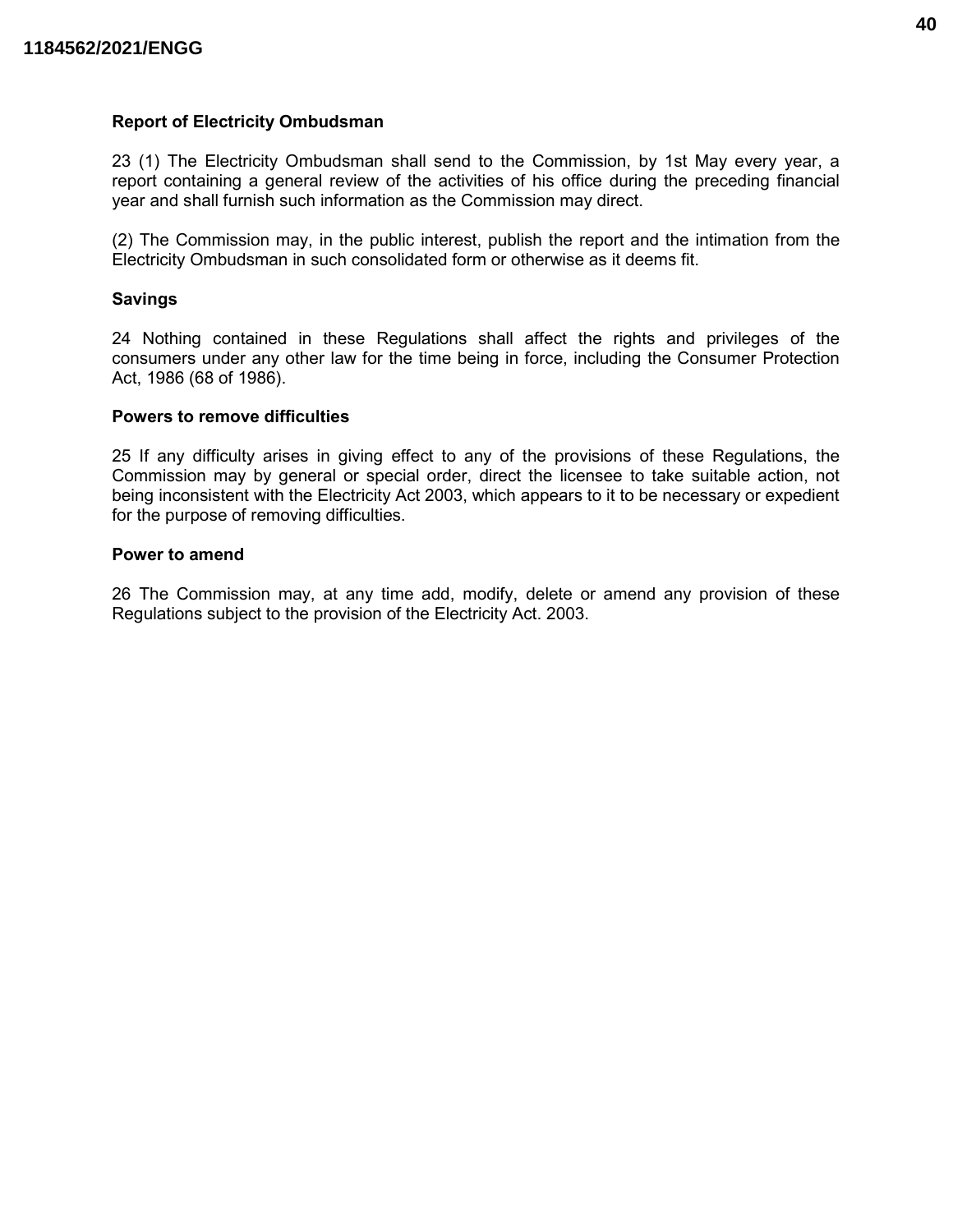#### Report of Electricity Ombudsman

23 (1) The Electricity Ombudsman shall send to the Commission, by 1st May every year, a report containing a general review of the activities of his office during the preceding financial year and shall furnish such information as the Commission may direct.

(2) The Commission may, in the public interest, publish the report and the intimation from the Electricity Ombudsman in such consolidated form or otherwise as it deems fit.

#### Savings

24 Nothing contained in these Regulations shall affect the rights and privileges of the consumers under any other law for the time being in force, including the Consumer Protection Act, 1986 (68 of 1986).

#### Powers to remove difficulties

25 If any difficulty arises in giving effect to any of the provisions of these Regulations, the Commission may by general or special order, direct the licensee to take suitable action, not being inconsistent with the Electricity Act 2003, which appears to it to be necessary or expedient for the purpose of removing difficulties.

#### Power to amend

26 The Commission may, at any time add, modify, delete or amend any provision of these Regulations subject to the provision of the Electricity Act. 2003.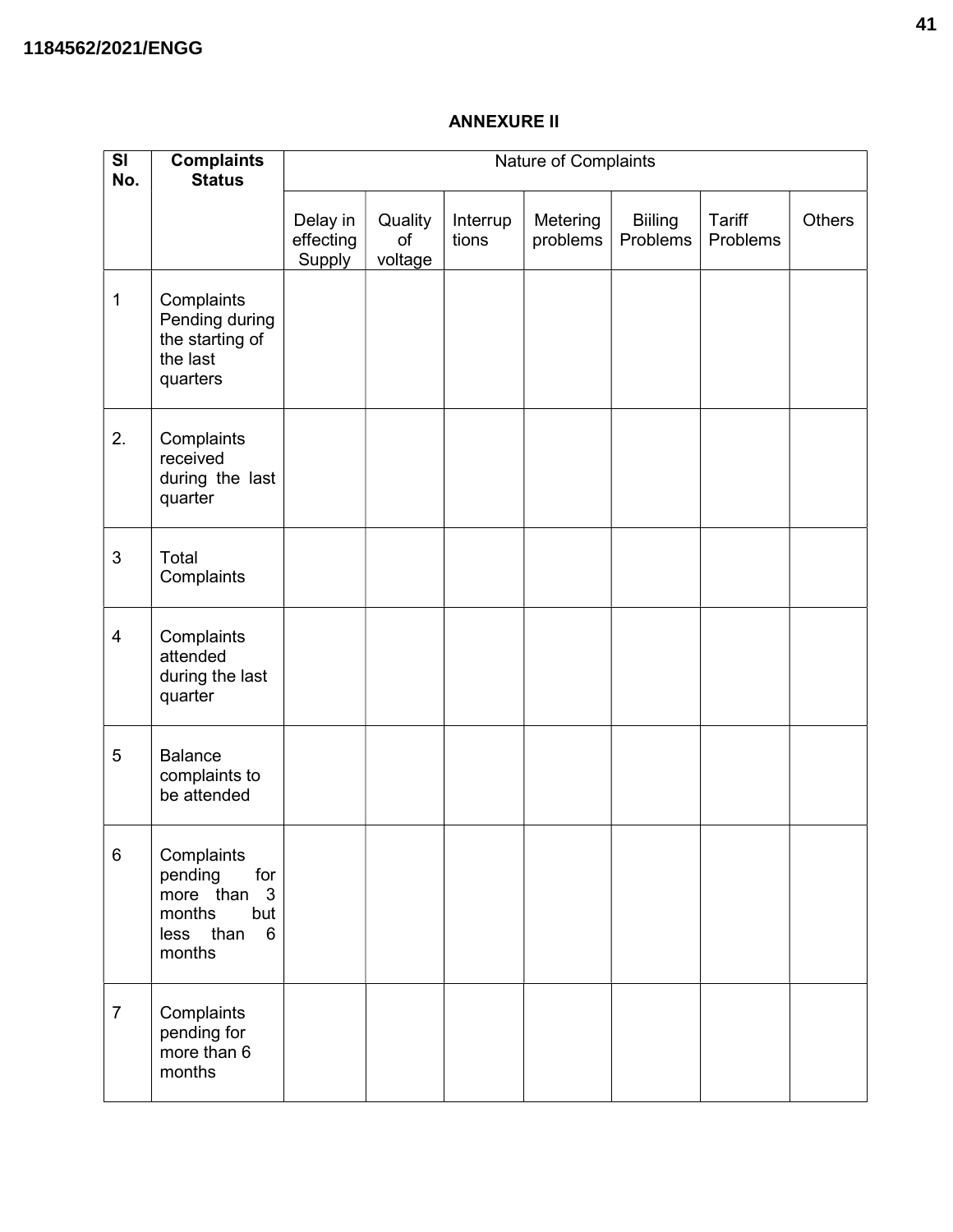# ANNEXURE II

| SI<br>No.      | <b>Complaints</b><br><b>Status</b>                                                          | Nature of Complaints            |                          |                   |                      |                            |                    |               |
|----------------|---------------------------------------------------------------------------------------------|---------------------------------|--------------------------|-------------------|----------------------|----------------------------|--------------------|---------------|
|                |                                                                                             | Delay in<br>effecting<br>Supply | Quality<br>of<br>voltage | Interrup<br>tions | Metering<br>problems | <b>Biiling</b><br>Problems | Tariff<br>Problems | <b>Others</b> |
| $\mathbf 1$    | Complaints<br>Pending during<br>the starting of<br>the last<br>quarters                     |                                 |                          |                   |                      |                            |                    |               |
| 2.             | Complaints<br>received<br>during the last<br>quarter                                        |                                 |                          |                   |                      |                            |                    |               |
| $\mathfrak{S}$ | Total<br>Complaints                                                                         |                                 |                          |                   |                      |                            |                    |               |
| $\overline{4}$ | Complaints<br>attended<br>during the last<br>quarter                                        |                                 |                          |                   |                      |                            |                    |               |
| 5              | <b>Balance</b><br>complaints to<br>be attended                                              |                                 |                          |                   |                      |                            |                    |               |
| $\,6\,$        | Complaints<br>pending<br>for<br>more than<br>3<br>months<br>but<br>less than<br>6<br>months |                                 |                          |                   |                      |                            |                    |               |
| $\overline{7}$ | Complaints<br>pending for<br>more than 6<br>months                                          |                                 |                          |                   |                      |                            |                    |               |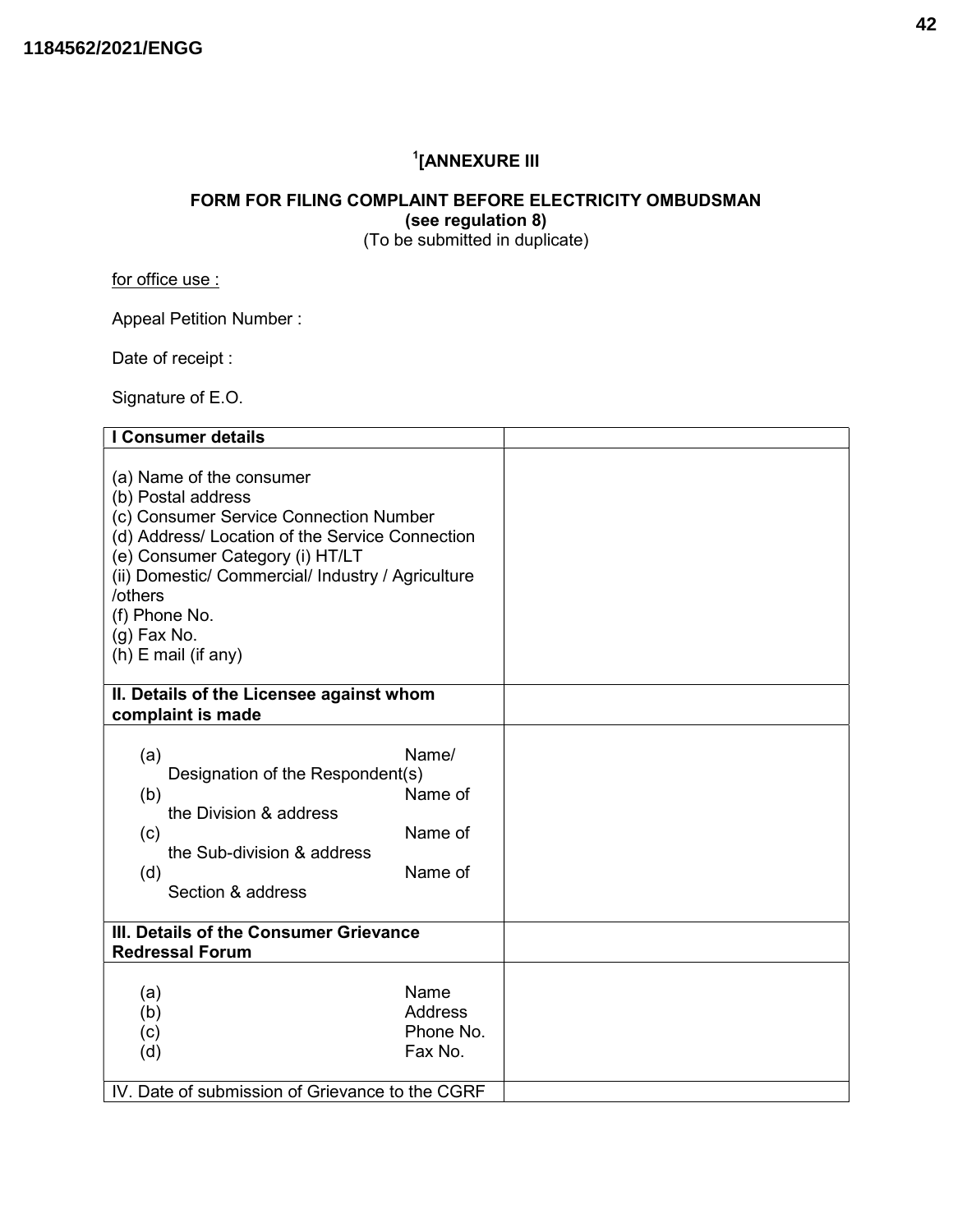# 1 [ANNEXURE III

# FORM FOR FILING COMPLAINT BEFORE ELECTRICITY OMBUDSMAN (see regulation 8)

(To be submitted in duplicate)

for office use :

Appeal Petition Number :

Date of receipt :

Signature of E.O.

| I Consumer details                                                                                                                                                                                                                                                                                        |                                                |  |
|-----------------------------------------------------------------------------------------------------------------------------------------------------------------------------------------------------------------------------------------------------------------------------------------------------------|------------------------------------------------|--|
| (a) Name of the consumer<br>(b) Postal address<br>(c) Consumer Service Connection Number<br>(d) Address/ Location of the Service Connection<br>(e) Consumer Category (i) HT/LT<br>(ii) Domestic/ Commercial/ Industry / Agriculture<br>/others<br>(f) Phone No.<br>$(g)$ Fax No.<br>$(h)$ E mail (if any) |                                                |  |
| II. Details of the Licensee against whom                                                                                                                                                                                                                                                                  |                                                |  |
| complaint is made                                                                                                                                                                                                                                                                                         |                                                |  |
| (a)<br>Designation of the Respondent(s)<br>(b)<br>the Division & address<br>(c)<br>the Sub-division & address<br>(d)<br>Section & address                                                                                                                                                                 | Name/<br>Name of<br>Name of<br>Name of         |  |
| III. Details of the Consumer Grievance                                                                                                                                                                                                                                                                    |                                                |  |
| <b>Redressal Forum</b>                                                                                                                                                                                                                                                                                    |                                                |  |
| (a)<br>(b)<br>(c)<br>(d)                                                                                                                                                                                                                                                                                  | Name<br><b>Address</b><br>Phone No.<br>Fax No. |  |
| IV. Date of submission of Grievance to the CGRF                                                                                                                                                                                                                                                           |                                                |  |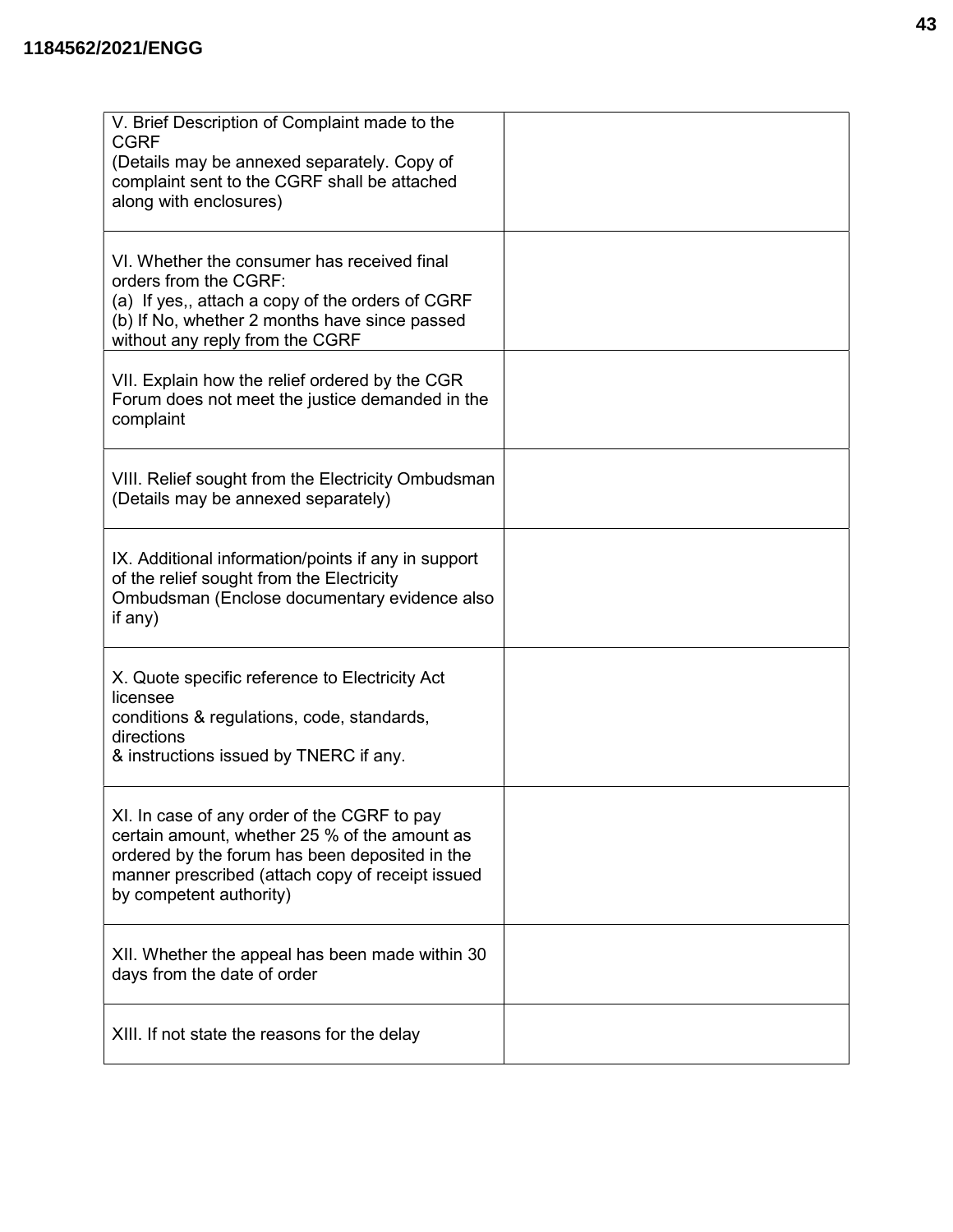| V. Brief Description of Complaint made to the<br><b>CGRF</b><br>(Details may be annexed separately. Copy of<br>complaint sent to the CGRF shall be attached<br>along with enclosures)                                         |  |
|-------------------------------------------------------------------------------------------------------------------------------------------------------------------------------------------------------------------------------|--|
| VI. Whether the consumer has received final<br>orders from the CGRF:<br>(a) If yes,, attach a copy of the orders of CGRF<br>(b) If No, whether 2 months have since passed<br>without any reply from the CGRF                  |  |
| VII. Explain how the relief ordered by the CGR<br>Forum does not meet the justice demanded in the<br>complaint                                                                                                                |  |
| VIII. Relief sought from the Electricity Ombudsman<br>(Details may be annexed separately)                                                                                                                                     |  |
| IX. Additional information/points if any in support<br>of the relief sought from the Electricity<br>Ombudsman (Enclose documentary evidence also<br>if any)                                                                   |  |
| X. Quote specific reference to Electricity Act<br>licensee<br>conditions & regulations, code, standards,<br>directions<br>& instructions issued by TNERC if any.                                                              |  |
| XI. In case of any order of the CGRF to pay<br>certain amount, whether 25 % of the amount as<br>ordered by the forum has been deposited in the<br>manner prescribed (attach copy of receipt issued<br>by competent authority) |  |
| XII. Whether the appeal has been made within 30<br>days from the date of order                                                                                                                                                |  |
| XIII. If not state the reasons for the delay                                                                                                                                                                                  |  |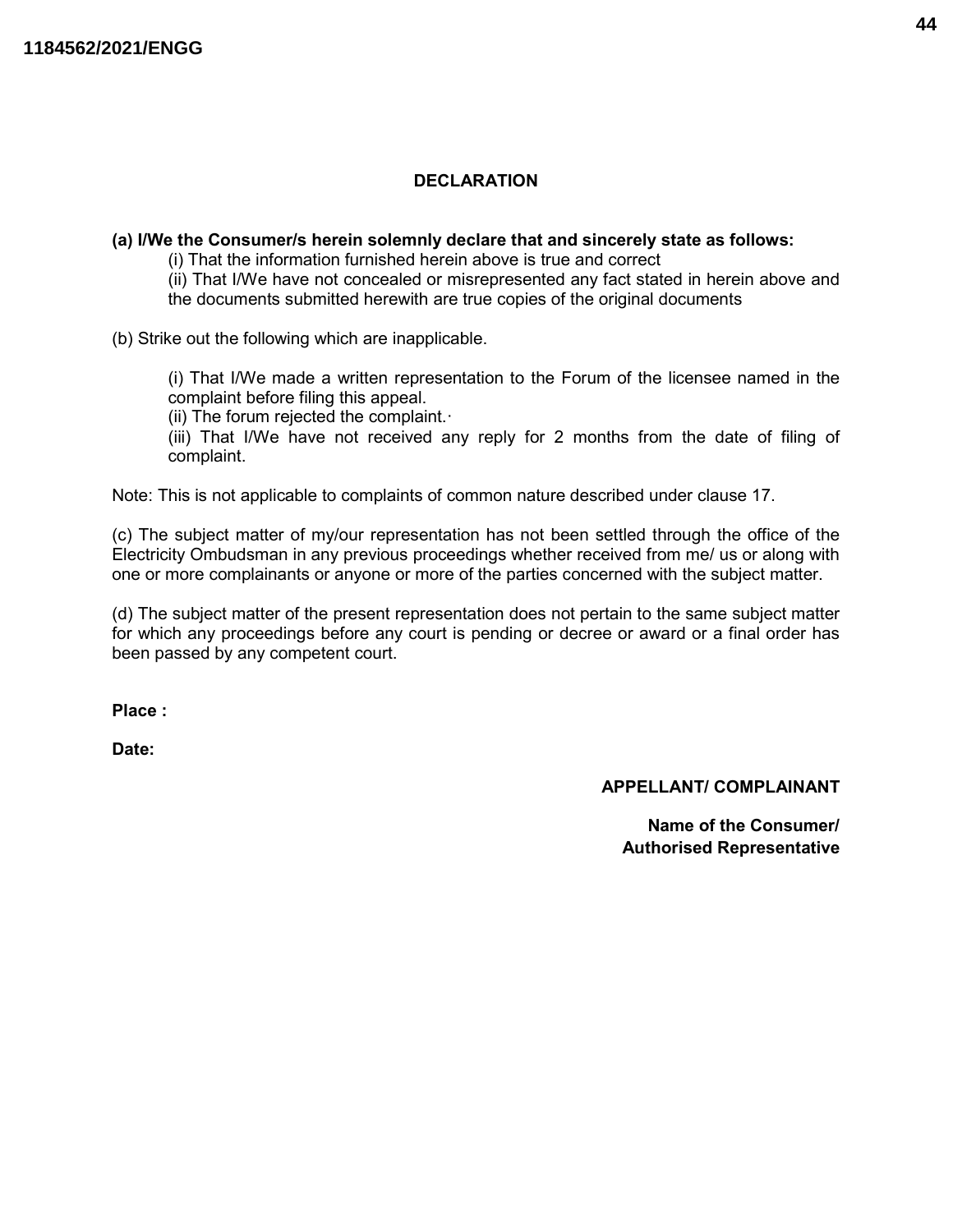# **DECLARATION**

#### (a) I/We the Consumer/s herein solemnly declare that and sincerely state as follows:

(i) That the information furnished herein above is true and correct

(ii) That I/We have not concealed or misrepresented any fact stated in herein above and the documents submitted herewith are true copies of the original documents

(b) Strike out the following which are inapplicable.

(i) That I/We made a written representation to the Forum of the licensee named in the complaint before filing this appeal.

(ii) The forum rejected the complaint.·

(iii) That I/We have not received any reply for 2 months from the date of filing of complaint.

Note: This is not applicable to complaints of common nature described under clause 17.

(c) The subject matter of my/our representation has not been settled through the office of the Electricity Ombudsman in any previous proceedings whether received from me/ us or along with one or more complainants or anyone or more of the parties concerned with the subject matter.

(d) The subject matter of the present representation does not pertain to the same subject matter for which any proceedings before any court is pending or decree or award or a final order has been passed by any competent court.

Place :

Date:

## APPELLANT/ COMPLAINANT

 Name of the Consumer/ Authorised Representative